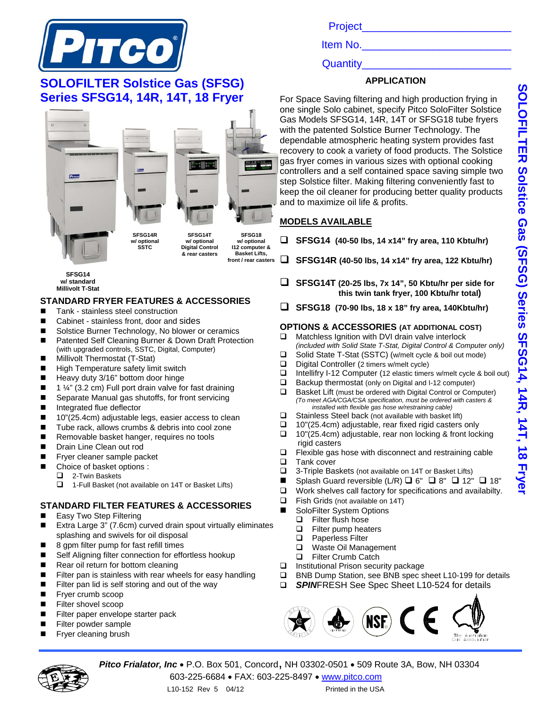

## **SOLOFILTER Solstice Gas (SFSG) Series SFSG14, 14R, 14T, 18 Fryer**



**SFSG14 w/ standard Millivolt T-Stat**

### **STANDARD FRYER FEATURES & ACCESSORIES**

- Tank stainless steel construction
- Cabinet stainless front, door and sides
- Solstice Burner Technology, No blower or ceramics
- Patented Self Cleaning Burner & Down Draft Protection (with upgraded controls, SSTC, Digital, Computer)
- **Millivolt Thermostat (T-Stat)**
- **High Temperature safety limit switch**
- Heavy duty 3/16" bottom door hinge
- $\blacksquare$  1 ¼" (3.2 cm) Full port drain valve for fast draining
- Separate Manual gas shutoffs, for front servicing
- Integrated flue deflector
- 10"(25.4cm) adjustable legs, easier access to clean
- Tube rack, allows crumbs & debris into cool zone
- Removable basket hanger, requires no tools
- **Drain Line Clean out rod**
- **Figure 1** Fryer cleaner sample packet
- Choice of basket options :
	- 2-Twin Baskets
	- □ 1-Full Basket (not available on 14T or Basket Lifts)

## **STANDARD FILTER FEATURES & ACCESSORIES**

- Easy Two Step Filtering
- Extra Large 3" (7.6cm) curved drain spout virtually eliminates splashing and swivels for oil disposal
- 8 gpm filter pump for fast refill times
- Self Aligning filter connection for effortless hookup
- Rear oil return for bottom cleaning
- Filter pan is stainless with rear wheels for easy handling
- Filter pan lid is self storing and out of the way
- **Fiver crumb scoop**
- **Filter shovel scoop**
- Filter paper envelope starter pack
- Filter powder sample
- Fryer cleaning brush

Project\_\_\_\_\_\_\_\_\_\_\_\_\_\_\_\_\_\_\_\_\_\_\_\_\_

Item No.

Quantity

## **APPLICATION**

For Space Saving filtering and high production frying in one single Solo cabinet, specify Pitco SoloFilter Solstice Gas Models SFSG14, 14R, 14T or SFSG18 tube fryers with the patented Solstice Burner Technology. The dependable atmospheric heating system provides fast recovery to cook a variety of food products. The Solstice gas fryer comes in various sizes with optional cooking controllers and a self contained space saving simple two step Solstice filter. Making filtering conveniently fast to keep the oil cleaner for producing better quality products and to maximize oil life & profits.

### **MODELS AVAILABLE**

- **SFSG14 (40-50 lbs, 14 x14" fry area, 110 Kbtu/hr)**
- **SFSG14R (40-50 lbs, 14 x14" fry area, 122 Kbtu/hr)**
- **SFSG14T (20-25 lbs, 7x 14", 50 Kbtu/hr per side for this twin tank fryer, 100 Kbtu/hr total)**
- **SFSG18 (70-90 lbs, 18 x 18" fry area, 140Kbtu/hr)**

#### **OPTIONS & ACCESSORIES (AT ADDITIONAL COST)**

- □ Matchless Ignition with DVI drain valve interlock *(included with Solid State T-Stat, Digital Control & Computer only)*
- Solid State T-Stat (SSTC) (w/melt cycle & boil out mode)
- Digital Controller (2 timers w/melt cycle)
- □ Intellifry I-12 Computer (12 elastic timers w/melt cycle & boil out)
- $\Box$  Backup thermostat (only on Digital and I-12 computer)
- $\Box$  Basket Lift (must be ordered with Digital Control or Computer) *(To meet AGA/CGA/CSA specification, must be ordered with casters & installed with flexible gas hose w/restraining cable)*
- $\Box$  Stainless Steel back (not available with basket lift)
- $\Box$  10"(25.4cm) adjustable, rear fixed rigid casters only
- □ 10"(25.4cm) adjustable, rear non locking & front locking rigid casters<br>I Flexible gas l
- Flexible gas hose with disconnect and restraining cable
- **Tank cover**
- 3-Triple Baskets (not available on 14T or Basket Lifts)
- Splash Guard reversible (L/R)  $\Box$  6"  $\Box$  8"  $\Box$  12"  $\Box$  18"
- $\Box$  Work shelves call factory for specifications and availabilty.
- **Example 3** Fish Grids (not available on 14T)
- SoloFilter System Options
	- Filter flush hose
		- □ Filter pump heaters
	- □ Paperless Filter
	- □ Waste Oil Management
- Filter Crumb Catch
- □ Institutional Prison security package
- □ BNB Dump Station, see BNB spec sheet L10-199 for details
- **SPINFRESH See Spec Sheet L10-524 for details**





**Pitco Frialator, Inc •** P.O. Box 501, Concord, NH 03302-0501 • 509 Route 3A, Bow, NH 03304 603-225-6684 FAX: 603-225-8497 www.pitco.com

**SOLOFILTER Solstice Gas (SFSG) Series SFSG14, 14R, 14T, 18 Fryer** SOLOFILTER Solstice Gas (SFSG) Series SFSG14, 14T, 18 Frye